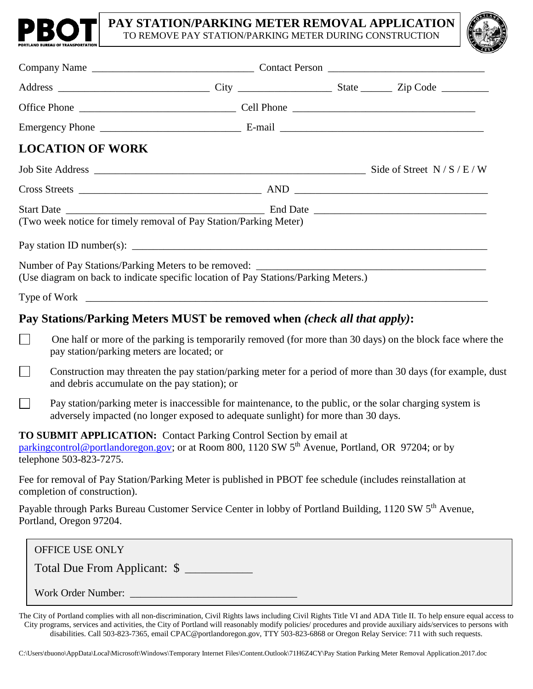# **PAY STATION/PARKING METER REMOVAL APPLICATION**

TO REMOVE PAY STATION/PARKING METER DURING CONSTRUCTION

|                          | <b>LOCATION OF WORK</b>                                                             |  |                                                                                                            |
|--------------------------|-------------------------------------------------------------------------------------|--|------------------------------------------------------------------------------------------------------------|
|                          |                                                                                     |  |                                                                                                            |
|                          |                                                                                     |  |                                                                                                            |
|                          |                                                                                     |  |                                                                                                            |
|                          | (Two week notice for timely removal of Pay Station/Parking Meter)                   |  |                                                                                                            |
|                          |                                                                                     |  |                                                                                                            |
|                          |                                                                                     |  |                                                                                                            |
|                          | (Use diagram on back to indicate specific location of Pay Stations/Parking Meters.) |  |                                                                                                            |
|                          |                                                                                     |  |                                                                                                            |
|                          | Pay Stations/Parking Meters MUST be removed when <i>(check all that apply)</i> :    |  |                                                                                                            |
| $\overline{\phantom{a}}$ | pay station/parking meters are located; or                                          |  | One half or more of the parking is temporarily removed (for more than 30 days) on the block face where the |

 $\perp$ Construction may threaten the pay station/parking meter for a period of more than 30 days (for example, dust and debris accumulate on the pay station); or

Pay station/parking meter is inaccessible for maintenance, to the public, or the solar charging system is  $\mathbb{R}^n$ adversely impacted (no longer exposed to adequate sunlight) for more than 30 days.

### **TO SUBMIT APPLICATION:** Contact Parking Control Section by email at

[parkingcontrol@portlandoregon.gov;](mailto:parkingcontrol@portlandoregon.gov) or at Room 800, 1120 SW 5<sup>th</sup> Avenue, Portland, OR 97204; or by telephone 503-823-7275.

Fee for removal of Pay Station/Parking Meter is published in PBOT fee schedule (includes reinstallation at completion of construction).

Payable through Parks Bureau Customer Service Center in lobby of Portland Building, 1120 SW 5<sup>th</sup> Avenue, Portland, Oregon 97204.

| <b>OFFICE USE ONLY</b>       |
|------------------------------|
| Total Due From Applicant: \$ |
| Work Order Number:           |

The City of Portland complies with all non-discrimination, Civil Rights laws including Civil Rights Title VI and ADA Title II. To help ensure equal access to City programs, services and activities, the City of Portland will reasonably modify policies/ procedures and provide auxiliary aids/services to persons with disabilities. Call 503-823-7365, email CPAC@portlandoregon.gov, TTY 503-823-6868 or Oregon Relay Service: 711 with such requests.